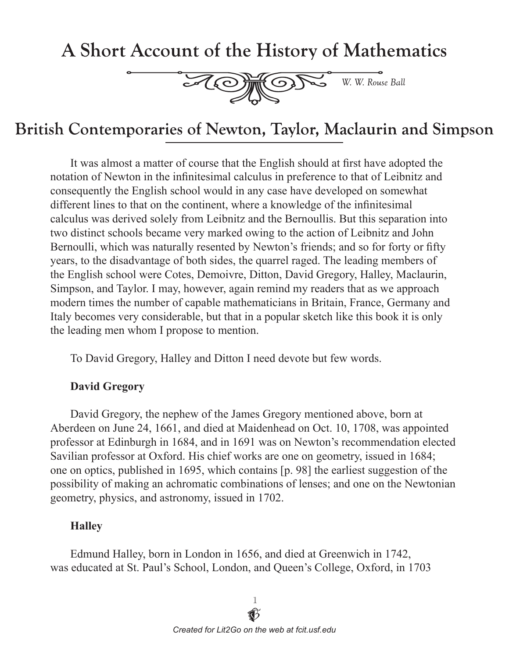# A Short Account of the History of Mathematics



# British Contemporaries of Newton, Taylor, Maclaurin and Simpson

It was almost a matter of course that the English should at first have adopted the notation of Newton in the infinitesimal calculus in preference to that of Leibnitz and consequently the English school would in any case have developed on somewhat different lines to that on the continent, where a knowledge of the infinitesimal calculus was derived solely from Leibnitz and the Bernoullis. But this separation into two distinct schools became very marked owing to the action of Leibnitz and John Bernoulli, which was naturally resented by Newton's friends; and so for forty or fifty years, to the disadvantage of both sides, the quarrel raged. The leading members of the English school were Cotes, Demoivre, Ditton, David Gregory, Halley, Maclaurin, Simpson, and Taylor. I may, however, again remind my readers that as we approach modern times the number of capable mathematicians in Britain, France, Germany and Italy becomes very considerable, but that in a popular sketch like this book it is only the leading men whom I propose to mention.

To David Gregory, Halley and Ditton I need devote but few words.

#### **David Gregory**

David Gregory, the nephew of the James Gregory mentioned above, born at Aberdeen on June 24, 1661, and died at Maidenhead on Oct. 10, 1708, was appointed professor at Edinburgh in 1684, and in 1691 was on Newton's recommendation elected Savilian professor at Oxford. His chief works are one on geometry, issued in 1684; one on optics, published in 1695, which contains [p. 98] the earliest suggestion of the possibility of making an achromatic combinations of lenses; and one on the Newtonian geometry, physics, and astronomy, issued in 1702.

#### **Halley**

Edmund Halley, born in London in 1656, and died at Greenwich in 1742, was educated at St. Paul's School, London, and Queen's College, Oxford, in 1703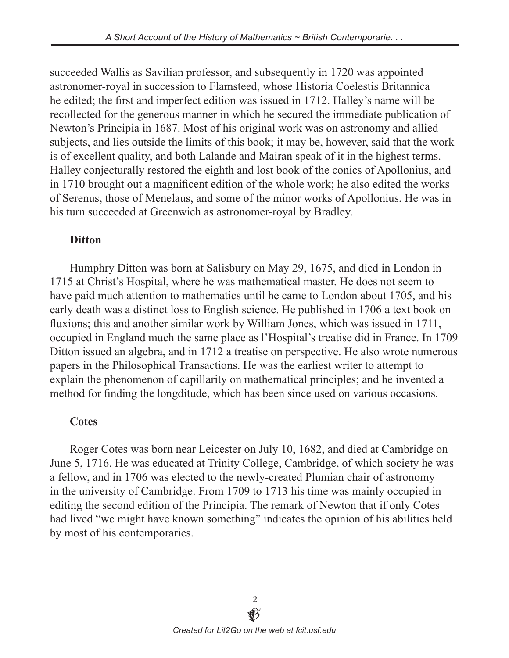succeeded Wallis as Savilian professor, and subsequently in 1720 was appointed astronomer-royal in succession to Flamsteed, whose Historia Coelestis Britannica he edited; the first and imperfect edition was issued in 1712. Halley's name will be recollected for the generous manner in which he secured the immediate publication of Newton's Principia in 1687. Most of his original work was on astronomy and allied subjects, and lies outside the limits of this book; it may be, however, said that the work is of excellent quality, and both Lalande and Mairan speak of it in the highest terms. Halley conjecturally restored the eighth and lost book of the conics of Apollonius, and in 1710 brought out a magnificent edition of the whole work; he also edited the works of Serenus, those of Menelaus, and some of the minor works of Apollonius. He was in his turn succeeded at Greenwich as astronomer-royal by Bradley.

## **Ditton**

Humphry Ditton was born at Salisbury on May 29, 1675, and died in London in 1715 at Christ's Hospital, where he was mathematical master. He does not seem to have paid much attention to mathematics until he came to London about 1705, and his early death was a distinct loss to English science. He published in 1706 a text book on fluxions; this and another similar work by William Jones, which was issued in 1711, occupied in England much the same place as l'Hospital's treatise did in France. In 1709 Ditton issued an algebra, and in 1712 a treatise on perspective. He also wrote numerous papers in the Philosophical Transactions. He was the earliest writer to attempt to explain the phenomenon of capillarity on mathematical principles; and he invented a method for finding the longditude, which has been since used on various occasions.

# **Cotes**

Roger Cotes was born near Leicester on July 10, 1682, and died at Cambridge on June 5, 1716. He was educated at Trinity College, Cambridge, of which society he was a fellow, and in 1706 was elected to the newly-created Plumian chair of astronomy in the university of Cambridge. From 1709 to 1713 his time was mainly occupied in editing the second edition of the Principia. The remark of Newton that if only Cotes had lived "we might have known something" indicates the opinion of his abilities held by most of his contemporaries.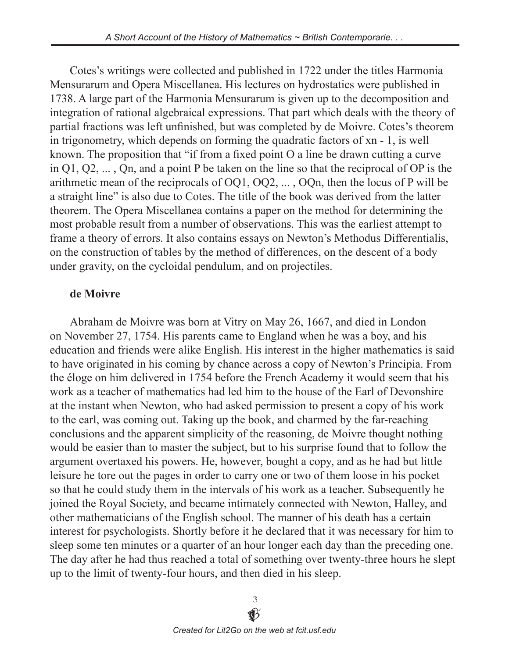Cotes's writings were collected and published in 1722 under the titles Harmonia Mensurarum and Opera Miscellanea. His lectures on hydrostatics were published in 1738. A large part of the Harmonia Mensurarum is given up to the decomposition and integration of rational algebraical expressions. That part which deals with the theory of partial fractions was left unfinished, but was completed by de Moivre. Cotes's theorem in trigonometry, which depends on forming the quadratic factors of xn - 1, is well known. The proposition that "if from a fixed point O a line be drawn cutting a curve in Q1, Q2, ... , Qn, and a point P be taken on the line so that the reciprocal of OP is the arithmetic mean of the reciprocals of OQ1, OQ2, ... , OQn, then the locus of P will be a straight line" is also due to Cotes. The title of the book was derived from the latter theorem. The Opera Miscellanea contains a paper on the method for determining the most probable result from a number of observations. This was the earliest attempt to frame a theory of errors. It also contains essays on Newton's Methodus Differentialis, on the construction of tables by the method of differences, on the descent of a body under gravity, on the cycloidal pendulum, and on projectiles.

#### **de Moivre**

Abraham de Moivre was born at Vitry on May 26, 1667, and died in London on November 27, 1754. His parents came to England when he was a boy, and his education and friends were alike English. His interest in the higher mathematics is said to have originated in his coming by chance across a copy of Newton's Principia. From the éloge on him delivered in 1754 before the French Academy it would seem that his work as a teacher of mathematics had led him to the house of the Earl of Devonshire at the instant when Newton, who had asked permission to present a copy of his work to the earl, was coming out. Taking up the book, and charmed by the far-reaching conclusions and the apparent simplicity of the reasoning, de Moivre thought nothing would be easier than to master the subject, but to his surprise found that to follow the argument overtaxed his powers. He, however, bought a copy, and as he had but little leisure he tore out the pages in order to carry one or two of them loose in his pocket so that he could study them in the intervals of his work as a teacher. Subsequently he joined the Royal Society, and became intimately connected with Newton, Halley, and other mathematicians of the English school. The manner of his death has a certain interest for psychologists. Shortly before it he declared that it was necessary for him to sleep some ten minutes or a quarter of an hour longer each day than the preceding one. The day after he had thus reached a total of something over twenty-three hours he slept up to the limit of twenty-four hours, and then died in his sleep.